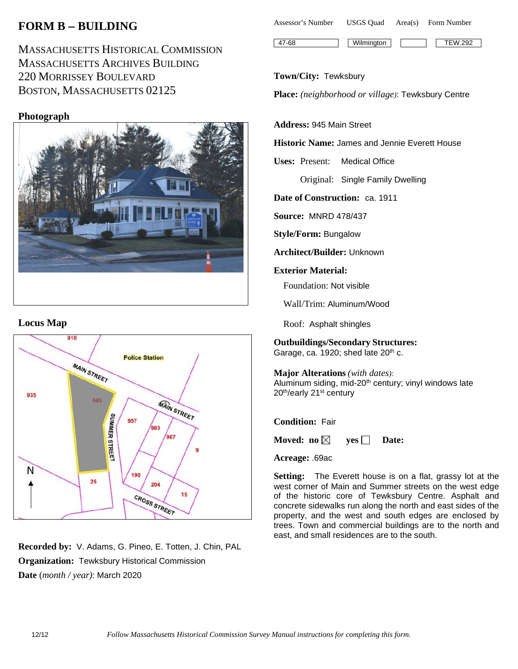# **FORM B** − **BUILDING**

MASSACHUSETTS HISTORICAL COMMISSION MASSACHUSETTS ARCHIVES BUILDING 220 MORRISSEY BOULEVARD BOSTON, MASSACHUSETTS 02125

## **Photograph**



### **Locus Map**



**Recorded by:** V. Adams, G. Pineo, E. Totten, J. Chin, PAL **Organization:** Tewksbury Historical Commission **Date** (*month / year)*: March 2020

Assessor's Number USGS Quad Area(s) Form Number 47-68 Wilmington TEW.292

#### **Town/City:** Tewksbury

**Place:** *(neighborhood or village)*: Tewksbury Centre

#### **Address:** 945 Main Street

**Historic Name:** James and Jennie Everett House

**Uses:** Present: Medical Office

Original: Single Family Dwelling

**Date of Construction:** ca. 1911

**Source:** MNRD 478/437

**Style/Form:** Bungalow

**Architect/Builder:** Unknown

#### **Exterior Material:**

Foundation: Not visible

Wall/Trim: Aluminum/Wood

Roof: Asphalt shingles

**Outbuildings/Secondary Structures:** Garage, ca. 1920; shed late 20<sup>th</sup> c.

**Major Alterations** *(with dates):* Aluminum siding, mid-20<sup>th</sup> century; vinyl windows late 20th/early 21st century

**Condition:** Fair

**Moved:** no $\boxtimes$  **yes**  $\Box$  **Date:** 

**Acreage:** .69ac

**Setting:** The Everett house is on a flat, grassy lot at the west corner of Main and Summer streets on the west edge of the historic core of Tewksbury Centre. Asphalt and concrete sidewalks run along the north and east sides of the property, and the west and south edges are enclosed by trees. Town and commercial buildings are to the north and east, and small residences are to the south.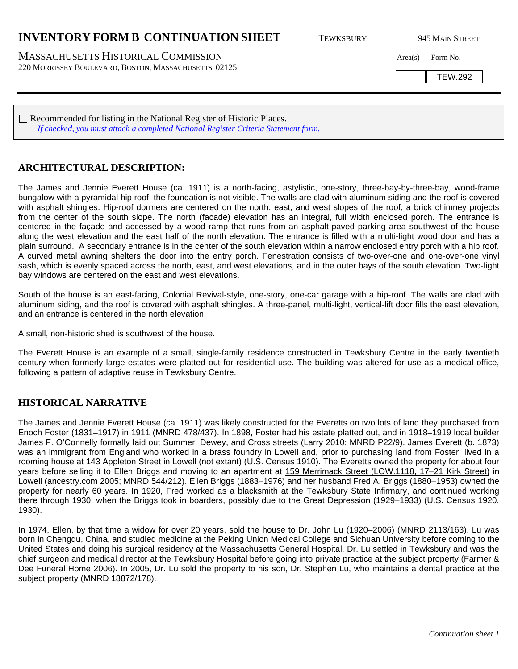## **INVENTORY FORM B CONTINUATION SHEET** TEWKSBURY 945 MAIN STREET

MASSACHUSETTS HISTORICAL COMMISSION Area(s) Form No. 220 MORRISSEY BOULEVARD, BOSTON, MASSACHUSETTS 02125

TEW.292

Recommended for listing in the National Register of Historic Places. *If checked, you must attach a completed National Register Criteria Statement form.*

### **ARCHITECTURAL DESCRIPTION:**

The James and Jennie Everett House (ca. 1911) is a north-facing, astylistic, one-story, three-bay-by-three-bay, wood-frame bungalow with a pyramidal hip roof; the foundation is not visible. The walls are clad with aluminum siding and the roof is covered with asphalt shingles. Hip-roof dormers are centered on the north, east, and west slopes of the roof; a brick chimney projects from the center of the south slope. The north (facade) elevation has an integral, full width enclosed porch. The entrance is centered in the façade and accessed by a wood ramp that runs from an asphalt-paved parking area southwest of the house along the west elevation and the east half of the north elevation. The entrance is filled with a multi-light wood door and has a plain surround. A secondary entrance is in the center of the south elevation within a narrow enclosed entry porch with a hip roof. A curved metal awning shelters the door into the entry porch. Fenestration consists of two-over-one and one-over-one vinyl sash, which is evenly spaced across the north, east, and west elevations, and in the outer bays of the south elevation. Two-light bay windows are centered on the east and west elevations.

South of the house is an east-facing, Colonial Revival-style, one-story, one-car garage with a hip-roof. The walls are clad with aluminum siding, and the roof is covered with asphalt shingles. A three-panel, multi-light, vertical-lift door fills the east elevation, and an entrance is centered in the north elevation.

A small, non-historic shed is southwest of the house.

The Everett House is an example of a small, single-family residence constructed in Tewksbury Centre in the early twentieth century when formerly large estates were platted out for residential use. The building was altered for use as a medical office, following a pattern of adaptive reuse in Tewksbury Centre.

### **HISTORICAL NARRATIVE**

The James and Jennie Everett House (ca. 1911) was likely constructed for the Everetts on two lots of land they purchased from Enoch Foster (1831–1917) in 1911 (MNRD 478/437). In 1898, Foster had his estate platted out, and in 1918–1919 local builder James F. O'Connelly formally laid out Summer, Dewey, and Cross streets (Larry 2010; MNRD P22/9). James Everett (b. 1873) was an immigrant from England who worked in a brass foundry in Lowell and, prior to purchasing land from Foster, lived in a rooming house at 143 Appleton Street in Lowell (not extant) (U.S. Census 1910). The Everetts owned the property for about four years before selling it to Ellen Briggs and moving to an apartment at 159 Merrimack Street (LOW.1118, 17–21 Kirk Street) in Lowell (ancestry.com 2005; MNRD 544/212). Ellen Briggs (1883–1976) and her husband Fred A. Briggs (1880–1953) owned the property for nearly 60 years. In 1920, Fred worked as a blacksmith at the Tewksbury State Infirmary, and continued working there through 1930, when the Briggs took in boarders, possibly due to the Great Depression (1929–1933) (U.S. Census 1920, 1930).

In 1974, Ellen, by that time a widow for over 20 years, sold the house to Dr. John Lu (1920–2006) (MNRD 2113/163). Lu was born in Chengdu, China, and studied medicine at the Peking Union Medical College and Sichuan University before coming to the United States and doing his surgical residency at the Massachusetts General Hospital. Dr. Lu settled in Tewksbury and was the chief surgeon and medical director at the Tewksbury Hospital before going into private practice at the subject property (Farmer & Dee Funeral Home 2006). In 2005, Dr. Lu sold the property to his son, Dr. Stephen Lu, who maintains a dental practice at the subject property (MNRD 18872/178).